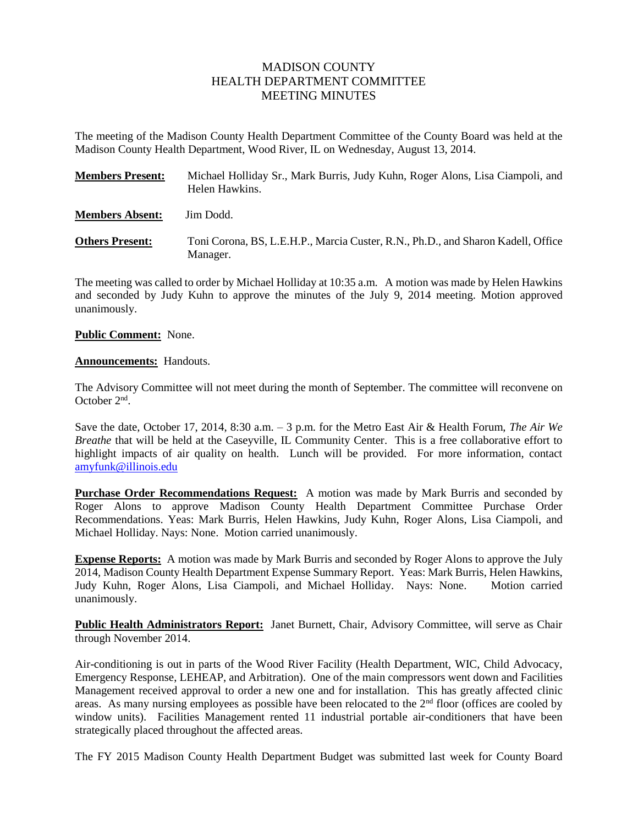# MADISON COUNTY HEALTH DEPARTMENT COMMITTEE MEETING MINUTES

The meeting of the Madison County Health Department Committee of the County Board was held at the Madison County Health Department, Wood River, IL on Wednesday, August 13, 2014.

| <b>Members Present:</b> | Michael Holliday Sr., Mark Burris, Judy Kuhn, Roger Alons, Lisa Ciampoli, and<br>Helen Hawkins. |
|-------------------------|-------------------------------------------------------------------------------------------------|
| <b>Members Absent:</b>  | Jim Dodd.                                                                                       |
| <b>Others Present:</b>  | Toni Corona, BS, L.E.H.P., Marcia Custer, R.N., Ph.D., and Sharon Kadell, Office<br>Manager.    |

The meeting was called to order by Michael Holliday at 10:35 a.m. A motion was made by Helen Hawkins and seconded by Judy Kuhn to approve the minutes of the July 9, 2014 meeting. Motion approved unanimously.

# **Public Comment:** None.

# **Announcements:** Handouts.

The Advisory Committee will not meet during the month of September. The committee will reconvene on October 2<sup>nd</sup>.

Save the date, October 17, 2014, 8:30 a.m. – 3 p.m. for the Metro East Air & Health Forum, *The Air We Breathe* that will be held at the Caseyville, IL Community Center. This is a free collaborative effort to highlight impacts of air quality on health. Lunch will be provided. For more information, contact [amyfunk@illinois.edu](mailto:amyfunk@illinois.edu)

**Purchase Order Recommendations Request:** A motion was made by Mark Burris and seconded by Roger Alons to approve Madison County Health Department Committee Purchase Order Recommendations. Yeas: Mark Burris, Helen Hawkins, Judy Kuhn, Roger Alons, Lisa Ciampoli, and Michael Holliday. Nays: None. Motion carried unanimously.

**Expense Reports:** A motion was made by Mark Burris and seconded by Roger Alons to approve the July 2014, Madison County Health Department Expense Summary Report. Yeas: Mark Burris, Helen Hawkins, Judy Kuhn, Roger Alons, Lisa Ciampoli, and Michael Holliday. Nays: None. Motion carried unanimously.

**Public Health Administrators Report:** Janet Burnett, Chair, Advisory Committee, will serve as Chair through November 2014.

Air-conditioning is out in parts of the Wood River Facility (Health Department, WIC, Child Advocacy, Emergency Response, LEHEAP, and Arbitration). One of the main compressors went down and Facilities Management received approval to order a new one and for installation. This has greatly affected clinic areas. As many nursing employees as possible have been relocated to the 2<sup>nd</sup> floor (offices are cooled by window units). Facilities Management rented 11 industrial portable air-conditioners that have been strategically placed throughout the affected areas.

The FY 2015 Madison County Health Department Budget was submitted last week for County Board